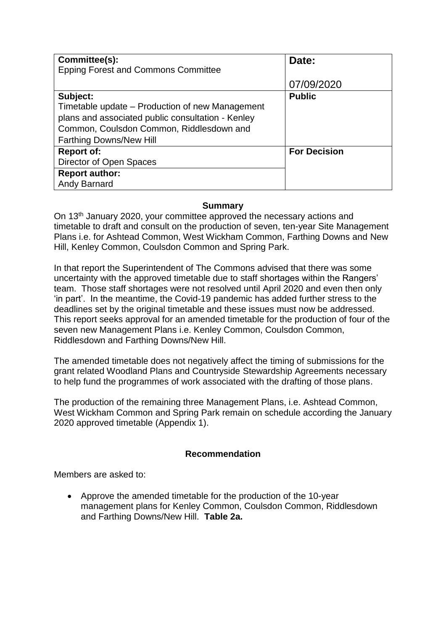| Committee(s):<br><b>Epping Forest and Commons Committee</b>                                                                                                                                    | Date:               |
|------------------------------------------------------------------------------------------------------------------------------------------------------------------------------------------------|---------------------|
|                                                                                                                                                                                                | 07/09/2020          |
| Subject:<br>Timetable update – Production of new Management<br>plans and associated public consultation - Kenley<br>Common, Coulsdon Common, Riddlesdown and<br><b>Farthing Downs/New Hill</b> | <b>Public</b>       |
| <b>Report of:</b><br>Director of Open Spaces<br><b>Report author:</b>                                                                                                                          | <b>For Decision</b> |
| Andy Barnard                                                                                                                                                                                   |                     |

#### **Summary**

On 13th January 2020, your committee approved the necessary actions and timetable to draft and consult on the production of seven, ten-year Site Management Plans i.e. for Ashtead Common, West Wickham Common, Farthing Downs and New Hill, Kenley Common, Coulsdon Common and Spring Park.

In that report the Superintendent of The Commons advised that there was some uncertainty with the approved timetable due to staff shortages within the Rangers' team. Those staff shortages were not resolved until April 2020 and even then only 'in part'. In the meantime, the Covid-19 pandemic has added further stress to the deadlines set by the original timetable and these issues must now be addressed. This report seeks approval for an amended timetable for the production of four of the seven new Management Plans i.e. Kenley Common, Coulsdon Common, Riddlesdown and Farthing Downs/New Hill.

The amended timetable does not negatively affect the timing of submissions for the grant related Woodland Plans and Countryside Stewardship Agreements necessary to help fund the programmes of work associated with the drafting of those plans.

The production of the remaining three Management Plans, i.e. Ashtead Common, West Wickham Common and Spring Park remain on schedule according the January 2020 approved timetable (Appendix 1).

#### **Recommendation**

Members are asked to:

• Approve the amended timetable for the production of the 10-year management plans for Kenley Common, Coulsdon Common, Riddlesdown and Farthing Downs/New Hill. **Table 2a.**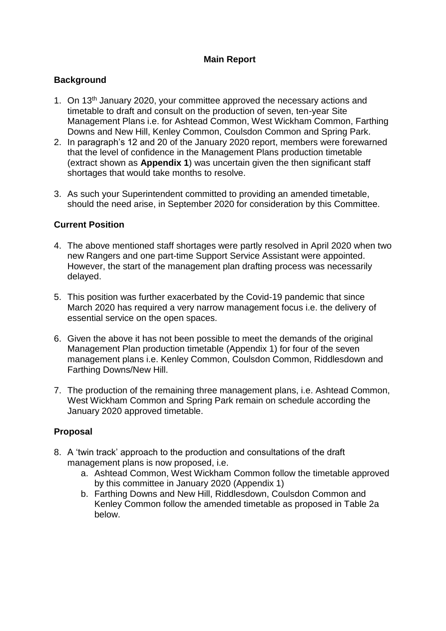# **Main Report**

# **Background**

- 1. On 13th January 2020, your committee approved the necessary actions and timetable to draft and consult on the production of seven, ten-year Site Management Plans i.e. for Ashtead Common, West Wickham Common, Farthing Downs and New Hill, Kenley Common, Coulsdon Common and Spring Park.
- 2. In paragraph's 12 and 20 of the January 2020 report, members were forewarned that the level of confidence in the Management Plans production timetable (extract shown as **Appendix 1**) was uncertain given the then significant staff shortages that would take months to resolve.
- 3. As such your Superintendent committed to providing an amended timetable, should the need arise, in September 2020 for consideration by this Committee.

## **Current Position**

- 4. The above mentioned staff shortages were partly resolved in April 2020 when two new Rangers and one part-time Support Service Assistant were appointed. However, the start of the management plan drafting process was necessarily delayed.
- 5. This position was further exacerbated by the Covid-19 pandemic that since March 2020 has required a very narrow management focus i.e. the delivery of essential service on the open spaces.
- 6. Given the above it has not been possible to meet the demands of the original Management Plan production timetable (Appendix 1) for four of the seven management plans i.e. Kenley Common, Coulsdon Common, Riddlesdown and Farthing Downs/New Hill.
- 7. The production of the remaining three management plans, i.e. Ashtead Common, West Wickham Common and Spring Park remain on schedule according the January 2020 approved timetable.

## **Proposal**

- 8. A 'twin track' approach to the production and consultations of the draft management plans is now proposed, i.e.
	- a. Ashtead Common, West Wickham Common follow the timetable approved by this committee in January 2020 (Appendix 1)
	- b. Farthing Downs and New Hill, Riddlesdown, Coulsdon Common and Kenley Common follow the amended timetable as proposed in Table 2a below.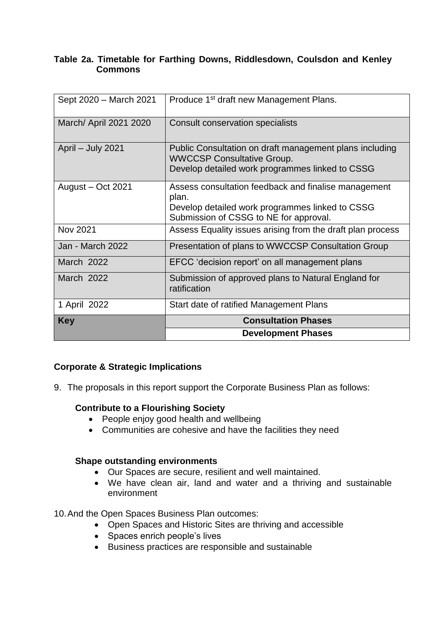#### **Table 2a. Timetable for Farthing Downs, Riddlesdown, Coulsdon and Kenley Commons**

| Sept 2020 - March 2021  | Produce 1 <sup>st</sup> draft new Management Plans.                                                                                                        |  |
|-------------------------|------------------------------------------------------------------------------------------------------------------------------------------------------------|--|
| March/ April 2021 2020  | Consult conservation specialists                                                                                                                           |  |
| April - July 2021       | Public Consultation on draft management plans including<br><b>WWCCSP Consultative Group.</b><br>Develop detailed work programmes linked to CSSG            |  |
| August - Oct 2021       | Assess consultation feedback and finalise management<br>plan.<br>Develop detailed work programmes linked to CSSG<br>Submission of CSSG to NE for approval. |  |
| Nov 2021                | Assess Equality issues arising from the draft plan process                                                                                                 |  |
| <b>Jan - March 2022</b> | Presentation of plans to WWCCSP Consultation Group                                                                                                         |  |
| March 2022              | EFCC 'decision report' on all management plans                                                                                                             |  |
| <b>March 2022</b>       | Submission of approved plans to Natural England for<br>ratification                                                                                        |  |
| 1 April 2022            | Start date of ratified Management Plans                                                                                                                    |  |
| <b>Key</b>              | <b>Consultation Phases</b>                                                                                                                                 |  |
|                         | <b>Development Phases</b>                                                                                                                                  |  |

## **Corporate & Strategic Implications**

9. The proposals in this report support the Corporate Business Plan as follows:

## **Contribute to a Flourishing Society**

- People enjoy good health and wellbeing
- Communities are cohesive and have the facilities they need

#### **Shape outstanding environments**

- Our Spaces are secure, resilient and well maintained.
- We have clean air, land and water and a thriving and sustainable environment

10.And the Open Spaces Business Plan outcomes:

- Open Spaces and Historic Sites are thriving and accessible
- Spaces enrich people's lives
- Business practices are responsible and sustainable